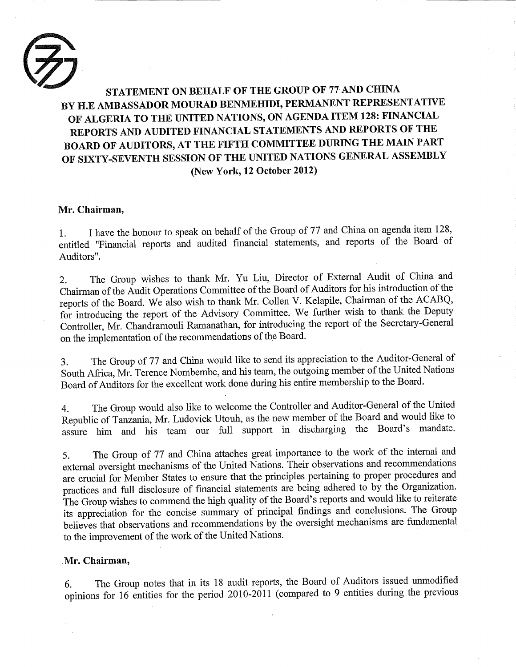

## STATEMENT ON BEHALF OF THE GROUP OF 77 AND CHINA BY H.E AMBASSADOR MOURAD BENMEHIDI, PERMANENT REPRESENTATIVE OF ALGERIA TO THE UNITED NATIONS, ON AGENDA ITEM 128: FINANCIAL REPORTS AND AUDITED FINANCIAL STATEMENTS AND REPORTS OF THE BOARD OF AUDITORS, AT THE FIFTH COMMITTEE DURING THE MAIN PART OF SIXTY-SEVENTH SESSION OF THE UNITED NATIONS GENERAL ASSEMBLY (New York, 12 October 2012)

## Mr. Chairman,

1. I have the honour to speak on behalf of the Group of 77 and China on agenda item 128, entitled "Financial reports and audited financial statements, and reports of the Board of Auditors".

2. The Group wishes to thank Mr. Yu Liu, Director of External Audit of China and Chairman of the Audit Operations Committee of the Board of Auditors for his introduction of the reports of the Board. We also wish to thank Mr. Collen V. Kelapile, Chairman of the ACABQ, for introducing the report of the Advisory Committee. We further wish to thank the Deputy Controller, Mr. Chandramouli Ramanathan, for introducing the report of the Secretary-General on the implementation of the recommendations of the Board.

3. The Group of 77 and China would like to send its appreciation to the Auditor-General of South Africa, Mr. Terence Nombembe, and his team, the outgoing member of the United Nations Board of Auditors for the excellent work done during his entire membership to the Board.

4. The Group would also like to welcome the Controller and Auditor-General of the United Republic of Tanzania, Mr. Ludovick Utouh, as the new member of the Board and would like to assure him and his team our full support in discharging the Board's mandate.

5. The Group of 77 and China attaches great importance to the work of the internal and external oversight mechanisms of the United Nations. Their observations and recommendations are crucial for Member States to ensure that the principles pertaining to proper procedures and practices and full disclosure of financial statements are being adhered to by the Organization. The Group wishes to commend the high quality of the Board's reports and would like to reiterate its appreciation for the concise summary of principal findings and conclusions. The Group believes that observations and recommendations by the oversight mechanisms are fundamental to the improvement of the work of the United Nations.

## Mr. Chairman,

6. The Group notes that in its 18 audit reports, the Board of Auditors issued unmodified opinions for 16 entities for the period 2010-2011 (compared to 9 entities during the previous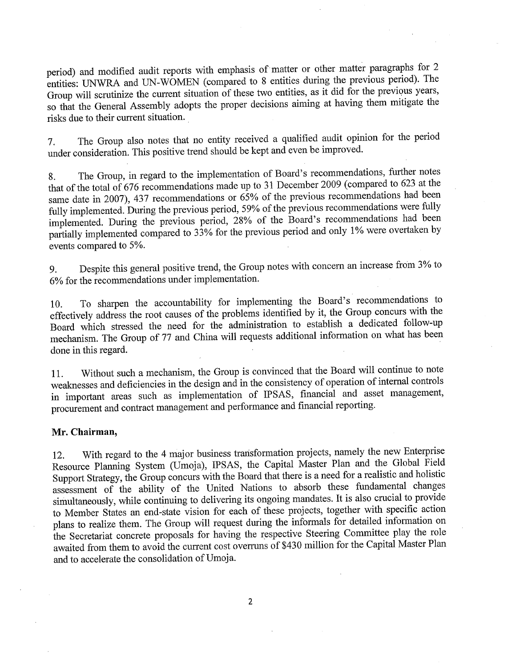period) and modified audit reports with emphasis of matter or other matter paragraphs for 2 entities: UNWRA and UN-WOMEN (compared to 8 entities during the previous period). The Group will scrutinize the current situation of these two entities, as it did for the previous years, so that the General Assembly adopts the proper decisions aiming at having them mitigate the risks due to their current situation.

7. The Group also notes that no entity received a qualified audit opinion for the period under consideration. This positive trend should be kept and even be improved.

8. The Group, in regard to the implementation of Board's recommendations, further notes that of the total of 676 recommendations made up to 31 December 2009 (compared to 623 at the same date in 2007), 437 recommendations or 65% of the previous recommendations had been fully implemented. During the previous period, 59% of the previous recommendations were fully implemented. During the previous period, 28% of the Board's recommendations had been partially implemented compared to 33% for the previous period and only 1% were overtaken by events compared to 5%.

9. Despite this general positive trend, the Group notes with concern an increase from 3% to 6% for the recommendations under implementation.

10. To sharpen the accountability for implementing the Board's recommendations to effectively address the root causes of the problems identified by it, the Group concurs with the Board which stressed the need for the administration to establish a dedicated follow-up mechanism. The Group of 77 and China will requests additional information on what has been done in this regard.

11. Without such a mechanism, the Group is convinced that the Board will continue to note weaknesses and deficiencies in the design and in the consistency of operation of internal controls in important areas such as implementation of IPSAS, financial and asset management, procurement and contract management and performance and financial reporting.

#### Mr. Chairman,

12. With regard to the 4 major business trarisformation projects, namely the new Enterprise Resource Planning System (Umoja), IPSAS, the Capital Master Plan and the Global Field Support Strategy, the Group concurs with the Board that there is a need for a realistic and holistic assessment of the ability of the United Nations to absorb these fundamental changes simultaneously, while continuing to delivering its ongoing mandates. It is also crucial to provide to Member States an end-state vision for each of these projects, together with specific action plans to realize them. The Group will request during the informals for detailed information on the Secretariat concrete proposals for having the respective Steering Committee play the role awaited from them to avoid the current cost overruns of \$430 million for the Capital Master Plan and to accelerate the consolidation of Umoja.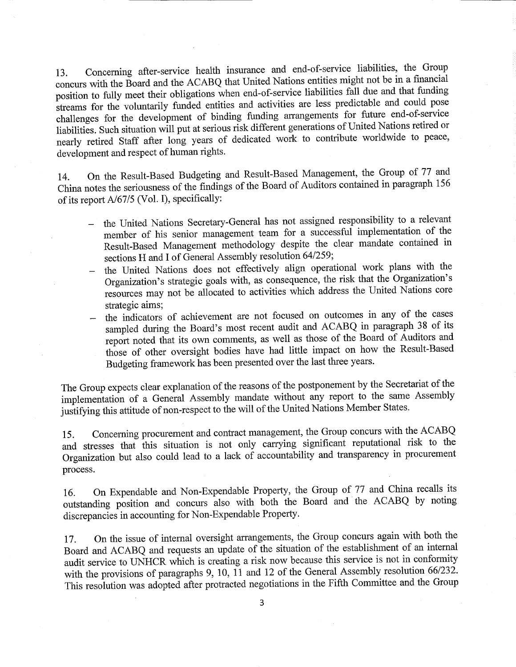13. Concerning after-service health insurance and end-of-service liabilities, the Group concurs with the Board and the ACABQ that United Nations entities might not be in a financial position to fully meet their obligations when end-of-service liabilities fall due and that funding streams for the voluntarily funded entities and activities are less predictable and could pose challenges for the development of binding funding arrangements for future end-of-service liabilities. Such situation will put at serious risk different generations of United Nations retired or nearly retired Staff after long years of dedicated work to contribute worldwide to peace, development and respect of human rights.

14. On the Result-Based Budgeting and Result-Based Management, the Group of 77 and China notes the seriousness of the findings of the Board of Auditors contained in paragraph 156 of its report A/67/5 (Vol. I), specifically:

- the United Nations Secretary-General has not assigned responsibility to a relevant member of his senior management team for a successful implementation of the Result-Based Management methodology despite the clear mandate contained in sections H and I of General Assembly resolution 64/259;
- the United Nations does not effectively align operational work plans with the Organization's strategic goals with, as consequence, the risk that the Organization's resources may not be allocated to activities which address the United Nations core strategic aims;
- the indicators of achievement are not focused on outcomes in any of the cases sampled during the Board's most recent audit and ACABQ in paragraph 38 of its report noted that its own comments, as well as those of the Board of Auditors and those of other oversight bodies have had little impact on how the Result-Based Budgeting framework has been presented over the last three years.

The Group expects clear explanation of the reasons of the postponement by the Secretariat of the implementation of a General Assembly mandate without any report to the same Assembly justifying this attitude of non-respect to the will of the United Nations Member States.

15. Concerning procurement and contract management, the Group concurs with the ACABQ and stresses that this situation is not only carrying significant reputational risk to the Organization but also could lead to a lack of accountability and transparency in procurement process.

16. On Expendable and Non-Expendable Property, the Group of 77 and China recalls its outstanding position and concurs also with both the Board and the ACABQ by noting discrepancies in accounting for Non-Expendable Property.

17. On the issue of internal oversight arrangements, the Group concurs again with both the Board and ACABQ and requests an update of the situation of the establishment of an internal audit service to UNHCR which is creating a risk now because this service is not in conformity with the provisions of paragraphs 9, 10,  $\check{11}$  and 12 of the General Assembly resolution 66/232. This resolution was adopted after protracted negotiations in the Fifth Committee and the Group

 $\overline{3}$